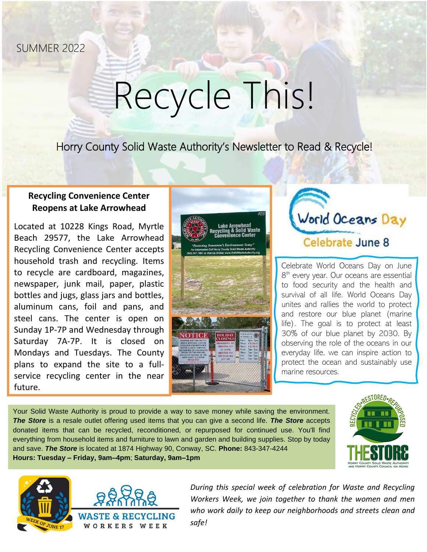SUMMER 2022

# Recycle This!

Horry County Solid Waste Authority's Newsletter to Read & Recycle!

### **Recycling Convenience Center Reopens at Lake Arrowhead**

Located at 10228 Kings Road, Myrtle Beach 29577, the Lake Arrowhead Recycling Convenience Center accepts household trash and recycling. Items to recycle are cardboard, magazines, newspaper, junk mail, paper, plastic bottles and jugs, glass jars and bottles, aluminum cans, foil and pans, and steel cans. The center is open on Sunday 1P-7P and Wednesday through Saturday 7A-7P. It is closed on Mondays and Tuesdays. The County plans to expand the site to a fullservice recycling center in the near future.



World Oceans Day Celebrate June 8

Celebrate World Oceans Day on June 8<sup>th</sup> every year. Our oceans are essential to food security and the health and survival of all life. World Oceans Day unites and rallies the world to protect and restore our blue planet (marine life). The goal is to protect at least 30% of our blue planet by 2030. By observing the role of the oceans in our everyday life, we can inspire action to protect the ocean and sustainably use marine resources.

Your Solid Waste Authority is proud to provide a way to save money while saving the environment. *The Store* is a resale outlet offering used items that you can give a second life. *The Store* accepts donated items that can be recycled, reconditioned, or repurposed for continued use. You'll find everything from household items and furniture to lawn and garden and building supplies. Stop by today and save. *The Store* is located at 1874 Highway 90, Conway, SC. **Phone:** 843-347-4244 **Hours: Tuesday – Friday, 9am–4pm**; **Saturday, 9am–1pm**





*During this special week of celebration for Waste and Recycling Workers Week, we join together to thank the women and men who work daily to keep our neighborhoods and streets clean and safe!*

i,